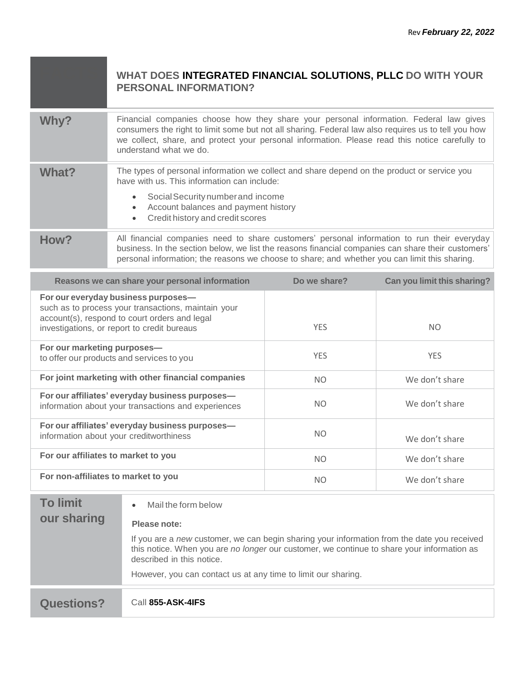|              | WHAT DOES INTEGRATED FINANCIAL SOLUTIONS, PLLC DO WITH YOUR<br><b>PERSONAL INFORMATION?</b>                                                                                                                                                                                                                               |
|--------------|---------------------------------------------------------------------------------------------------------------------------------------------------------------------------------------------------------------------------------------------------------------------------------------------------------------------------|
| Why?         | Financial companies choose how they share your personal information. Federal law gives<br>consumers the right to limit some but not all sharing. Federal law also requires us to tell you how<br>we collect, share, and protect your personal information. Please read this notice carefully to<br>understand what we do. |
| <b>What?</b> | The types of personal information we collect and share depend on the product or service you<br>have with us. This information can include:<br>Social Security number and income<br>Account balances and payment history<br>Credit history and credit scores                                                               |
| How?         | All financial companies need to share customers' personal information to run their everyday<br>business. In the section below, we list the reasons financial companies can share their customers'<br>personal information; the reasons we choose to share; and whether you can limit this sharing.                        |

| Reasons we can share your personal information                                                                                                                                             | Do we share?   | Can you limit this sharing? |
|--------------------------------------------------------------------------------------------------------------------------------------------------------------------------------------------|----------------|-----------------------------|
| For our everyday business purposes-<br>such as to process your transactions, maintain your<br>account(s), respond to court orders and legal<br>investigations, or report to credit bureaus | <b>YES</b>     | NO.                         |
| For our marketing purposes-<br>to offer our products and services to you                                                                                                                   | <b>YES</b>     | <b>YES</b>                  |
| For joint marketing with other financial companies                                                                                                                                         | <b>NO</b>      | We don't share              |
| For our affiliates' everyday business purposes-<br>information about your transactions and experiences                                                                                     | <b>NO</b>      | We don't share              |
| For our affiliates' everyday business purposes-<br>information about your creditworthiness                                                                                                 | <b>NO</b>      | We don't share              |
| For our affiliates to market to you                                                                                                                                                        | <b>NO</b>      | We don't share              |
| For non-affiliates to market to you                                                                                                                                                        | N <sub>O</sub> | We don't share              |

| <b>Questions?</b> | Call 855-ASK-4IFS                                                                                                                                                                                                      |
|-------------------|------------------------------------------------------------------------------------------------------------------------------------------------------------------------------------------------------------------------|
|                   | However, you can contact us at any time to limit our sharing.                                                                                                                                                          |
|                   | If you are a new customer, we can begin sharing your information from the date you received<br>this notice. When you are no longer our customer, we continue to share your information as<br>described in this notice. |
| our sharing       | Mail the form below<br>$\bullet$<br>Please note:                                                                                                                                                                       |
| <b>To limit</b>   |                                                                                                                                                                                                                        |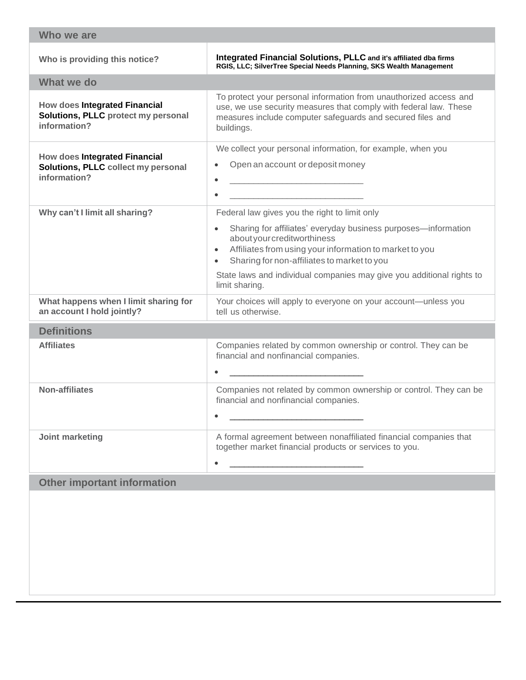| Who we are                                                                                  |                                                                                                                                                                                                                                                                                                                                                                  |  |  |  |
|---------------------------------------------------------------------------------------------|------------------------------------------------------------------------------------------------------------------------------------------------------------------------------------------------------------------------------------------------------------------------------------------------------------------------------------------------------------------|--|--|--|
| Who is providing this notice?                                                               | Integrated Financial Solutions, PLLC and it's affiliated dba firms<br>RGIS, LLC; SilverTree Special Needs Planning, SKS Wealth Management                                                                                                                                                                                                                        |  |  |  |
| What we do                                                                                  |                                                                                                                                                                                                                                                                                                                                                                  |  |  |  |
| <b>How does Integrated Financial</b><br>Solutions, PLLC protect my personal<br>information? | To protect your personal information from unauthorized access and<br>use, we use security measures that comply with federal law. These<br>measures include computer safeguards and secured files and<br>buildings.                                                                                                                                               |  |  |  |
| <b>How does Integrated Financial</b><br>Solutions, PLLC collect my personal<br>information? | We collect your personal information, for example, when you<br>Open an account or deposit money                                                                                                                                                                                                                                                                  |  |  |  |
| Why can't I limit all sharing?                                                              | Federal law gives you the right to limit only<br>Sharing for affiliates' everyday business purposes-information<br>about your creditworthiness<br>Affiliates from using your information to market to you<br>Sharing for non-affiliates to market to you<br>$\bullet$<br>State laws and individual companies may give you additional rights to<br>limit sharing. |  |  |  |
| What happens when I limit sharing for<br>an account I hold jointly?                         | Your choices will apply to everyone on your account-unless you<br>tell us otherwise.                                                                                                                                                                                                                                                                             |  |  |  |
| <b>Definitions</b>                                                                          |                                                                                                                                                                                                                                                                                                                                                                  |  |  |  |
| <b>Affiliates</b>                                                                           | Companies related by common ownership or control. They can be<br>financial and nonfinancial companies.                                                                                                                                                                                                                                                           |  |  |  |
| <b>Non-affiliates</b>                                                                       | Companies not related by common ownership or control. They can be<br>financial and nonfinancial companies.                                                                                                                                                                                                                                                       |  |  |  |
| Joint marketing                                                                             | A formal agreement between nonaffiliated financial companies that<br>together market financial products or services to you.                                                                                                                                                                                                                                      |  |  |  |
| <b>Other important information</b>                                                          |                                                                                                                                                                                                                                                                                                                                                                  |  |  |  |